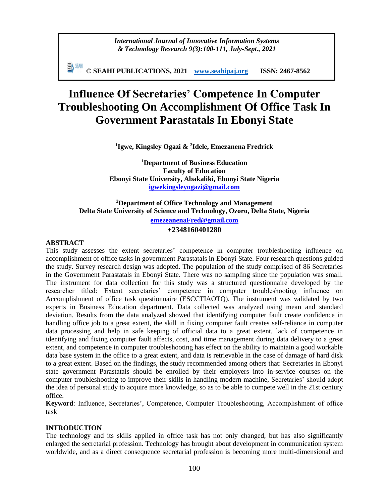*International Journal of Innovative Information Systems & Technology Research 9(3):100-111, July-Sept., 2021*

手N SEMH **© SEAHI PUBLICATIONS, 2021 [www.seahipaj.org](http://www.seahipaj.org/) ISSN: 2467-8562**

# **Influence Of Secretaries' Competence In Computer Troubleshooting On Accomplishment Of Office Task In Government Parastatals In Ebonyi State**

**1 Igwe, Kingsley Ogazi & <sup>2</sup> Idele, Emezanena Fredrick** 

**<sup>1</sup>Department of Business Education Faculty of Education Ebonyi State University, Abakaliki, Ebonyi State Nigeria [igwekingsleyogazi@gmail.com](mailto:igwekingsleyogazi@gmail.com)** 

# **<sup>2</sup>Department of Office Technology and Management Delta State University of Science and Technology, Ozoro, Delta State, Nigeria**

**[emezeanenaFred@gmail.com](mailto:emezeanenaFred@gmail.com) +2348160401280**

# **ABSTRACT**

This study assesses the extent secretaries' competence in computer troubleshooting influence on accomplishment of office tasks in government Parastatals in Ebonyi State. Four research questions guided the study. Survey research design was adopted. The population of the study comprised of 86 Secretaries in the Government Parastatals in Ebonyi State. There was no sampling since the population was small. The instrument for data collection for this study was a structured questionnaire developed by the researcher titled: Extent secretaries' competence in computer troubleshooting influence on Accomplishment of office task questionnaire (ESCCTIAOTQ). The instrument was validated by two experts in Business Education department. Data collected was analyzed using mean and standard deviation. Results from the data analyzed showed that identifying computer fault create confidence in handling office job to a great extent, the skill in fixing computer fault creates self-reliance in computer data processing and help in safe keeping of official data to a great extent, lack of competence in identifying and fixing computer fault affects, cost, and time management during data delivery to a great extent, and competence in computer troubleshooting has effect on the ability to maintain a good workable data base system in the office to a great extent, and data is retrievable in the case of damage of hard disk to a great extent. Based on the findings, the study recommended among others that: Secretaries in Ebonyi state government Parastatals should be enrolled by their employers into in-service courses on the computer troubleshooting to improve their skills in handling modern machine, Secretaries' should adopt the idea of personal study to acquire more knowledge, so as to be able to compete well in the 21st century office.

**Keyword**: Influence, Secretaries', Competence, Computer Troubleshooting, Accomplishment of office task

### **INTRODUCTION**

The technology and its skills applied in office task has not only changed, but has also significantly enlarged the secretarial profession. Technology has brought about development in communication system worldwide, and as a direct consequence secretarial profession is becoming more multi-dimensional and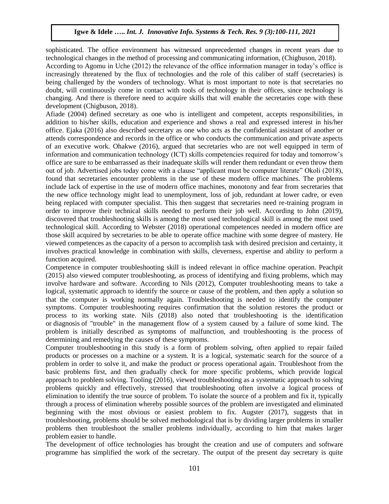sophisticated. The office environment has witnessed unprecedented changes in recent years due to technological changes in the method of processing and communicating information, (Chigbuson, 2018). According to Agomu in Uche (2012) the relevance of the office information manager in today's office is increasingly threatened by the flux of technologies and the role of this caliber of staff (secretaries) is being challenged by the wonders of technology. What is most important to note is that secretaries no doubt, will continuously come in contact with tools of technology in their offices, since technology is changing. And there is therefore need to acquire skills that will enable the secretaries cope with these development (Chigbuson, 2018).

Afiade (2004) defined secretary as one who is intelligent and competent, accepts responsibilities, in addition to his/her skills, education and experience and shows a real and expressed interest in his/her office. Ejaka (2016) also described secretary as one who acts as the confidential assistant of another or attends correspondence and records in the office or who conducts the communication and private aspects of an executive work. Ohakwe (2016), argued that secretaries who are not well equipped in term of information and communication technology (ICT) skills competencies required for today and tomorrow's office are sure to be embarrassed as their inadequate skills will render them redundant or even throw them out of job. Advertised jobs today come with a clause "applicant must be computer literate" Okoli (2018), found that secretaries encounter problems in the use of these modern office machines. The problems include lack of expertise in the use of modern office machines, monotony and fear from secretaries that the new office technology might lead to unemployment, loss of job, redundant at lower cadre, or even being replaced with computer specialist. This then suggest that secretaries need re-training program in order to improve their technical skills needed to perform their job well. According to John (2019), discovered that troubleshooting skills is among the most used technological skill is among the most used technological skill. According to Webster (2018) operational competences needed in modern office are those skill acquired by secretaries to be able to operate office machine with some degree of mastery. He viewed competences as the capacity of a person to accomplish task with desired precision and certainty, it involves practical knowledge in combination with skills, cleverness, expertise and ability to perform a function acquired.

Competence in computer troubleshooting skill is indeed relevant in office machine operation. Peachpit (2015) also viewed computer troubleshooting, as process of identifying and fixing problems, which may involve hardware and software. According to Nils (2012), Computer troubleshooting means to take a logical, systematic approach to identify the source or cause of the problem, and then apply a solution so that the computer is working normally again. Troubleshooting is needed to identify the computer symptoms. Computer troubleshooting requires confirmation that the solution restores the product or process to its working state. Nils (2018) also noted that troubleshooting is the identification or [diagnosis](https://en.wikipedia.org/wiki/Diagnosis) of "trouble" in the management flow of a system caused by a failure of some kind. The problem is initially described as symptoms of malfunction, and troubleshooting is the process of determining and remedying the causes of these symptoms.

Computer troubleshooting in this study is a form of problem solving, often applied to repair failed products or processes on a machine or a system. It is a logical, systematic search for the source of a problem in order to solve it, and make the product or process operational again. Troubleshoot from the basic problems first, and then gradually check for more specific problems, which provide logical approach to problem solving. Tooling (2016), viewed troubleshooting as a systematic approach to solving problems quickly and effectively, stressed that troubleshooting often involve a logical process of elimination to identify the true source of problem. To isolate the source of a problem and fix it, typically through a process of elimination whereby possible sources of the problem are investigated and eliminated beginning with the most obvious or easiest problem to fix. Augster (2017), suggests that in troubleshooting, problems should be solved methodological that is by dividing larger problems in smaller problems then troubleshoot the smaller problems individually, according to him that makes larger problem easier to handle.

The development of office technologies has brought the creation and use of computers and software programme has simplified the work of the secretary. The output of the present day secretary is quite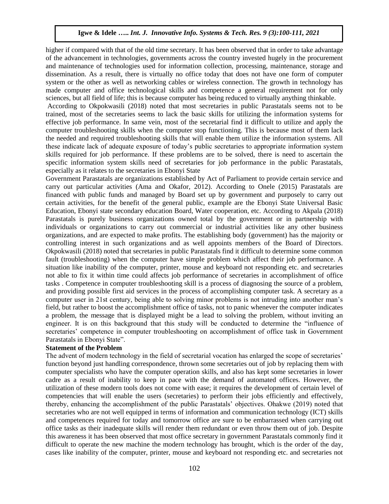higher if compared with that of the old time secretary. It has been observed that in order to take advantage of the advancement in technologies, governments across the country invested hugely in the procurement and maintenance of technologies used for information collection, processing, maintenance, storage and dissemination. As a result, there is virtually no office today that does not have one form of computer system or the other as well as networking cables or wireless connection. The growth in technology has made computer and office technological skills and competence a general requirement not for only sciences, but all field of life; this is because computer has being reduced to virtually anything thinkable.

According to Okpokwasili (2018) noted that most secretaries in public Parastatals seems not to be trained, most of the secretaries seems to lack the basic skills for utilizing the information systems for effective job performance. In same vein, most of the secretarial find it difficult to utilize and apply the computer troubleshooting skills when the computer stop functioning. This is because most of them lack the needed and required troubleshooting skills that will enable them utilize the information systems. All these indicate lack of adequate exposure of today's public secretaries to appropriate information system skills required for job performance. If these problems are to be solved, there is need to ascertain the specific information system skills need of secretaries for job performance in the public Parastatals, especially as it relates to the secretaries in Ebonyi State

Government Parastatals are organizations established by Act of Parliament to provide certain service and carry out particular activities (Ama and Okafor, 2012). According to Onele (2015) Parastatals are financed with public funds and managed by Board set up by government and purposely to carry out certain activities, for the benefit of the general public, example are the Ebonyi State Universal Basic Education, Ebonyi state secondary education Board, Water cooperation, etc. According to Akpala (2018) Parastatals is purely business organizations owned total by the government or in partnership with individuals or organizations to carry out commercial or industrial activities like any other business organizations, and are expected to make profits. The establishing body (government) has the majority or controlling interest in such organizations and as well appoints members of the Board of Directors. Okpokwasili (2018) noted that secretaries in public Parastatals find it difficult to determine some common fault (troubleshooting) when the computer have simple problem which affect their job performance. A situation like inability of the computer, printer, mouse and keyboard not responding etc. and secretaries not able to fix it within time could affects job performance of secretaries in accomplishment of office tasks . Competence in computer troubleshooting skill is a process of diagnosing the source of a problem, and providing possible first aid services in the process of accomplishing computer task. A secretary as a computer user in 21st century, being able to solving minor problems is not intruding into another man's field, but rather to boost the accomplishment office of tasks, not to panic whenever the computer indicates a problem, the message that is displayed might be a lead to solving the problem, without inviting an engineer. It is on this background that this study will be conducted to determine the "influence of secretaries' competence in computer troubleshooting on accomplishment of office task in Government Parastatals in Ebonyi State".

#### **Statement of the Problem**

The advent of modern technology in the field of secretarial vocation has enlarged the scope of secretaries' function beyond just handling correspondence, thrown some secretaries out of job by replacing them with computer specialists who have the computer operation skills, and also has kept some secretaries in lower cadre as a result of inability to keep in pace with the demand of automated offices. However, the utilization of these modern tools does not come with ease; it requires the development of certain level of competencies that will enable the users (secretaries) to perform their jobs efficiently and effectively, thereby, enhancing the accomplishment of the public Parastatals' objectives. Ohakwe (2019) noted that secretaries who are not well equipped in terms of information and communication technology (ICT) skills and competences required for today and tomorrow office are sure to be embarrassed when carrying out office tasks as their inadequate skills will render them redundant or even throw them out of job. Despite this awareness it has been observed that most office secretary in government Parastatals commonly find it difficult to operate the new machine the modern technology has brought, which is the order of the day, cases like inability of the computer, printer, mouse and keyboard not responding etc. and secretaries not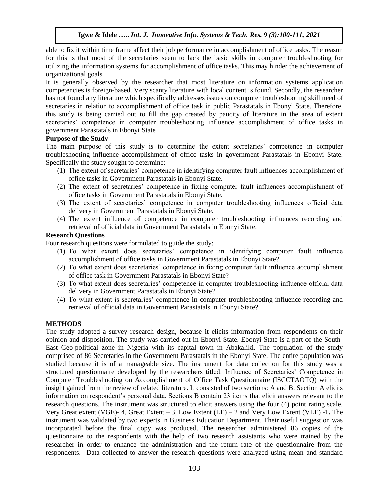able to fix it within time frame affect their job performance in accomplishment of office tasks. The reason for this is that most of the secretaries seem to lack the basic skills in computer troubleshooting for utilizing the information systems for accomplishment of office tasks. This may hinder the achievement of organizational goals.

It is generally observed by the researcher that most literature on information systems application competencies is foreign-based. Very scanty literature with local content is found. Secondly, the researcher has not found any literature which specifically addresses issues on computer troubleshooting skill need of secretaries in relation to accomplishment of office task in public Parastatals in Ebonyi State. Therefore, this study is being carried out to fill the gap created by paucity of literature in the area of extent secretaries' competence in computer troubleshooting influence accomplishment of office tasks in government Parastatals in Ebonyi State

### **Purpose of the Study**

The main purpose of this study is to determine the extent secretaries' competence in computer troubleshooting influence accomplishment of office tasks in government Parastatals in Ebonyi State. Specifically the study sought to determine:

- (1) The extent of secretaries' competence in identifying computer fault influences accomplishment of office tasks in Government Parastatals in Ebonyi State.
- (2) The extent of secretaries' competence in fixing computer fault influences accomplishment of office tasks in Government Parastatals in Ebonyi State.
- (3) The extent of secretaries' competence in computer troubleshooting influences official data delivery in Government Parastatals in Ebonyi State.
- (4) The extent influence of competence in computer troubleshooting influences recording and retrieval of official data in Government Parastatals in Ebonyi State.

### **Research Questions**

Four research questions were formulated to guide the study:

- (1) To what extent does secretaries' competence in identifying computer fault influence accomplishment of office tasks in Government Parastatals in Ebonyi State?
- (2) To what extent does secretaries' competence in fixing computer fault influence accomplishment of office task in Government Parastatals in Ebonyi State?
- (3) To what extent does secretaries' competence in computer troubleshooting influence official data delivery in Government Parastatals in Ebonyi State?
- (4) To what extent is secretaries' competence in computer troubleshooting influence recording and retrieval of official data in Government Parastatals in Ebonyi State?

# **METHODS**

The study adopted a survey research design, because it elicits information from respondents on their opinion and disposition. The study was carried out in Ebonyi State. Ebonyi State is a part of the South-East Geo-political zone in Nigeria with its capital town in Abakaliki. The population of the study comprised of 86 Secretaries in the Government Parastatals in the Ebonyi State. The entire population was studied because it is of a manageable size. The instrument for data collection for this study was a structured questionnaire developed by the researchers titled: Influence of Secretaries' Competence in Computer Troubleshooting on Accomplishment of Office Task Questionnaire (ISCCTAOTQ) with the insight gained from the review of related literature. It consisted of two sections: A and B. Section A elicits information on respondent's personal data. Sections B contain 23 items that elicit answers relevant to the research questions. The instrument was structured to elicit answers using the four (4) point rating scale. Very Great extent (VGE)- 4, Great Extent – 3, Low Extent (LE) – 2 and Very Low Extent (VLE) -1**.** The instrument was validated by two experts in Business Education Department. Their useful suggestion was incorporated before the final copy was produced. The researcher administered 86 copies of the questionnaire to the respondents with the help of two research assistants who were trained by the researcher in order to enhance the administration and the return rate of the questionnaire from the respondents. Data collected to answer the research questions were analyzed using mean and standard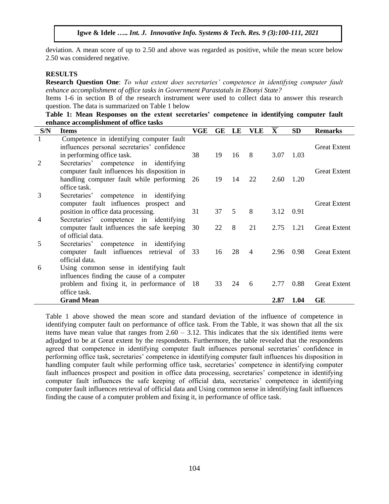deviation. A mean score of up to 2.50 and above was regarded as positive, while the mean score below 2.50 was considered negative.

#### **RESULTS**

**Research Question One**: *To what extent does secretaries' competence in identifying computer fault enhance accomplishment of office tasks in Government Parastatals in Ebonyi State?*

Items 1-6 in section B of the research instrument were used to collect data to answer this research question. The data is summarized on Table 1 below

|  |                                        |  | Table 1: Mean Responses on the extent secretaries' competence in identifying computer fault |  |  |  |
|--|----------------------------------------|--|---------------------------------------------------------------------------------------------|--|--|--|
|  | enhance accomplishment of office tasks |  |                                                                                             |  |  |  |

| S/N | <b>Items</b>                                                                  | VGE | GE | LE | <b>VLE</b> | $\overline{\mathbf{X}}$ | <b>SD</b> | <b>Remarks</b>      |
|-----|-------------------------------------------------------------------------------|-----|----|----|------------|-------------------------|-----------|---------------------|
|     | Competence in identifying computer fault                                      |     |    |    |            |                         |           |                     |
|     | influences personal secretaries' confidence                                   |     |    |    |            |                         |           | <b>Great Extent</b> |
|     | in performing office task.                                                    | 38  | 19 | 16 | 8          | 3.07                    | 1.03      |                     |
| 2   | Secretaries' competence<br>in identifying                                     |     |    |    |            |                         |           |                     |
|     | computer fault influences his disposition in                                  |     |    |    |            |                         |           | <b>Great Extent</b> |
|     | handling computer fault while performing                                      | 26  | 19 | 14 | 22         | 2.60                    | 1.20      |                     |
|     | office task.                                                                  |     |    |    |            |                         |           |                     |
| 3   | Secretaries'<br>competence in identifying                                     |     |    |    |            |                         |           | <b>Great Extent</b> |
|     | computer fault influences prospect and<br>position in office data processing. | 31  | 37 | 5  | 8          | 3.12                    | 0.91      |                     |
| 4   | Secretaries' competence in identifying                                        |     |    |    |            |                         |           |                     |
|     | computer fault influences the safe keeping                                    | 30  | 22 | 8  | 21         | 2.75                    | 1.21      | <b>Great Extent</b> |
|     | of official data.                                                             |     |    |    |            |                         |           |                     |
| 5   | competence in identifying<br>Secretaries'                                     |     |    |    |            |                         |           |                     |
|     | computer fault influences retrieval of 33                                     |     | 16 | 28 | 4          | 2.96                    | 0.98      | <b>Great Extent</b> |
|     | official data.                                                                |     |    |    |            |                         |           |                     |
| 6   | Using common sense in identifying fault                                       |     |    |    |            |                         |           |                     |
|     | influences finding the cause of a computer                                    |     |    |    |            |                         |           |                     |
|     | problem and fixing it, in performance of                                      | -18 | 33 | 24 | 6          | 2.77                    | 0.88      | <b>Great Extent</b> |
|     | office task.                                                                  |     |    |    |            |                         |           |                     |
|     | <b>Grand Mean</b>                                                             |     |    |    |            | 2.87                    | 1.04      | GE                  |

Table 1 above showed the mean score and standard deviation of the influence of competence in identifying computer fault on performance of office task. From the Table, it was shown that all the six items have mean value that ranges from 2.60 – 3.12. This indicates that the six identified items were adjudged to be at Great extent by the respondents. Furthermore, the table revealed that the respondents agreed that competence in identifying computer fault influences personal secretaries' confidence in performing office task, secretaries' competence in identifying computer fault influences his disposition in handling computer fault while performing office task, secretaries' competence in identifying computer fault influences prospect and position in office data processing, secretaries' competence in identifying computer fault influences the safe keeping of official data, secretaries' competence in identifying computer fault influences retrieval of official data and Using common sense in identifying fault influences finding the cause of a computer problem and fixing it, in performance of office task.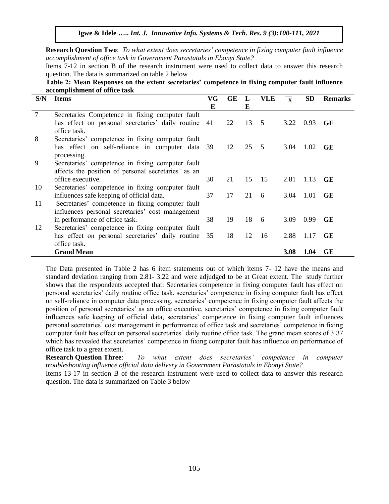**Igwe & Idele …..** *Int. J. Innovative Info. Systems & Tech. Res. 9 (3):100-111, 2021*

**Research Question Two**: *To what extent does secretaries' competence in fixing computer fault influence accomplishment of office task in Government Parastatals in Ebonyi State?* 

Items 7-12 in section B of the research instrument were used to collect data to answer this research question. The data is summarized on table 2 below

**Table 2: Mean Responses on the extent secretaries' competence in fixing computer fault influence accomplishment of office task**

| S/N            | <b>Items</b>                                        | VG | <b>GE</b> |    | <b>VLE</b>      | $\mathbf{x}$ | <b>SD</b> | <b>Remarks</b> |
|----------------|-----------------------------------------------------|----|-----------|----|-----------------|--------------|-----------|----------------|
|                |                                                     | E  |           | E  |                 |              |           |                |
| $\overline{7}$ | Secretaries Competence in fixing computer fault     |    |           |    |                 |              |           |                |
|                | has effect on personal secretaries' daily routine   | 41 | 22        | 13 | $5\overline{)}$ | 3.22         | 0.93      | <b>GE</b>      |
|                | office task.                                        |    |           |    |                 |              |           |                |
| 8              | Secretaries' competence in fixing computer fault    |    |           |    |                 |              |           |                |
|                | has effect on self-reliance in computer data 39     |    | 12        | 25 | $5\phantom{0}$  | 3.04         | 1.02      | <b>GE</b>      |
|                | processing.                                         |    |           |    |                 |              |           |                |
| 9              | Secretaries' competence in fixing computer fault    |    |           |    |                 |              |           |                |
|                | affects the position of personal secretaries' as an |    |           |    |                 |              |           |                |
|                | office executive.                                   | 30 | 21        | 15 | -15             | 2.81         | 1.13      | <b>GE</b>      |
| 10             | Secretaries' competence in fixing computer fault    |    |           |    |                 |              |           |                |
|                | influences safe keeping of official data.           | 37 | 17        | 21 | 6               | 3.04         | 1.01      | <b>GE</b>      |
| 11             | Secretaries' competence in fixing computer fault    |    |           |    |                 |              |           |                |
|                | influences personal secretaries' cost management    |    |           |    |                 |              |           |                |
|                | in performance of office task.                      | 38 | 19        | 18 | -6              | 3.09         | 0.99      | <b>GE</b>      |
| 12             | Secretaries' competence in fixing computer fault    |    |           |    |                 |              |           |                |
|                | has effect on personal secretaries' daily routine   | 35 | 18        | 12 | 16              | 2.88         | 1.17      | <b>GE</b>      |
|                | office task.                                        |    |           |    |                 |              |           |                |
|                | <b>Grand Mean</b>                                   |    |           |    |                 | <b>3.08</b>  | 1.04      | <b>GE</b>      |

The Data presented in Table 2 has 6 item statements out of which items 7- 12 have the means and standard deviation ranging from 2.81- 3.22 and were adjudged to be at Great extent. The study further shows that the respondents accepted that: Secretaries competence in fixing computer fault has effect on personal secretaries' daily routine office task, secretaries' competence in fixing computer fault has effect on self-reliance in computer data processing, secretaries' competence in fixing computer fault affects the position of personal secretaries' as an office executive, secretaries' competence in fixing computer fault influences safe keeping of official data, secretaries' competence in fixing computer fault influences personal secretaries' cost management in performance of office task and secretaries' competence in fixing computer fault has effect on personal secretaries' daily routine office task. The grand mean scores of 3.37 which has revealed that secretaries' competence in fixing computer fault has influence on performance of office task to a great extent.

**Research Question Three**: *To what extent does secretaries' competence in computer troubleshooting influence official data delivery in Government Parastatals in Ebonyi State?* 

Items 13-17 in section B of the research instrument were used to collect data to answer this research question. The data is summarized on Table 3 below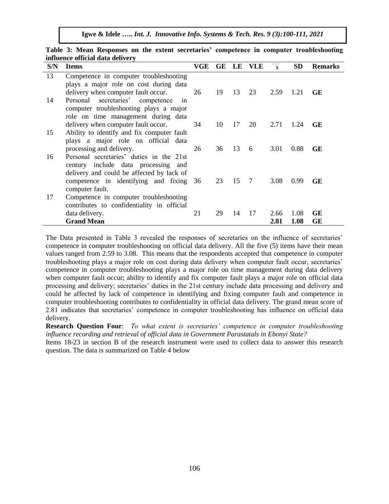| S/N | <b>Items</b>                                                                      | VGE |    | GE LE | VLE | $\overline{\mathbf{x}}$ | <b>SD</b> | <b>Remarks</b> |
|-----|-----------------------------------------------------------------------------------|-----|----|-------|-----|-------------------------|-----------|----------------|
| 13  | Competence in computer troubleshooting                                            |     |    |       |     |                         |           |                |
|     | plays a major role on cost during data                                            |     |    |       |     |                         |           |                |
|     | delivery when computer fault occur.                                               | 26  | 19 | 13    | 23  | 2.59                    | 1.21      | GE             |
| 14  | Personal<br>secretaries'<br>competence<br>1n                                      |     |    |       |     |                         |           |                |
|     | computer troubleshooting plays a major                                            |     |    |       |     |                         |           |                |
|     | role on time management during data                                               |     |    |       |     |                         |           |                |
| 15  | delivery when computer fault occur.<br>Ability to identify and fix computer fault | 34  | 10 | 17    | 20  | 2.71                    | 1.24      | <b>GE</b>      |
|     | plays a major role on official data                                               |     |    |       |     |                         |           |                |
|     | processing and delivery.                                                          | 26  | 36 | 13    | 6   | 3.01                    | 0.88      | <b>GE</b>      |
| 16  | Personal secretaries' duties in the 21st                                          |     |    |       |     |                         |           |                |
|     | century include data processing and                                               |     |    |       |     |                         |           |                |
|     | delivery and could be affected by lack of                                         |     |    |       |     |                         |           |                |
|     | competence in identifying and fixing                                              | 36  | 23 | 15    | 7   | 3.08                    | 0.99      | <b>GE</b>      |
|     | computer fault.                                                                   |     |    |       |     |                         |           |                |
| 17  | Competence in computer troubleshooting                                            |     |    |       |     |                         |           |                |
|     | contributes to confidentiality in official                                        |     |    |       |     |                         |           |                |
|     | data delivery.                                                                    | 21  | 29 | 14    | 17  | 2.66                    | 1.08      | GE             |
|     | <b>Grand Mean</b>                                                                 |     |    |       |     | 2.81                    | 1.08      | <b>GE</b>      |

**Table 3: Mean Responses on the extent secretaries' competence in computer troubleshooting influence official data delivery** 

The Data presented in Table 3 revealed the responses of secretaries on the influence of secretaries' competence in computer troubleshooting on official data delivery. All the five (5) items have their mean values ranged from 2.59 to 3.08. This means that the respondents accepted that competence in computer troubleshooting plays a major role on cost during data delivery when computer fault occur, secretaries' competence in computer troubleshooting plays a major role on time management during data delivery when computer fault occur; ability to identify and fix computer fault plays a major role on official data processing and delivery; secretaries' duties in the 21st century include data processing and delivery and could be affected by lack of competence in identifying and fixing computer fault and competence in computer troubleshooting contributes to confidentiality in official data delivery. The grand mean score of 2.81 indicates that secretaries' competence in computer troubleshooting has influence on official data delivery.

**Research Question Four**: *To what extent is secretaries' competence in computer troubleshooting influence recording and retrieval of official data in Government Parastatals in Ebonyi State?*

Items 18-23 in section B of the research instrument were used to collect data to answer this research question. The data is summarized on Table 4 below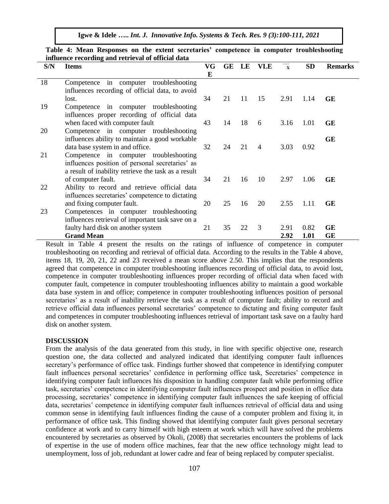**Igwe & Idele …..** *Int. J. Innovative Info. Systems & Tech. Res. 9 (3):100-111, 2021*

| S/N | <b>Items</b>                                                                                                                                     | VG<br>E | GE | LE | VLE | $\overline{\mathbf{x}}$ | SD   | <b>Remarks</b> |
|-----|--------------------------------------------------------------------------------------------------------------------------------------------------|---------|----|----|-----|-------------------------|------|----------------|
| 18  | Competence in computer troubleshooting<br>influences recording of official data, to avoid                                                        |         |    |    |     |                         |      |                |
|     | lost.                                                                                                                                            | 34      | 21 | 11 | 15  | 2.91                    | 1.14 | <b>GE</b>      |
| 19  | Competence in computer troubleshooting<br>influences proper recording of official data                                                           |         |    |    |     |                         |      |                |
|     | when faced with computer fault                                                                                                                   | 43      | 14 | 18 | 6   | 3.16                    | 1.01 | <b>GE</b>      |
| 20  | Competence in computer troubleshooting<br>influences ability to maintain a good workable                                                         |         |    |    |     |                         |      | GE             |
| 21  | data base system in and office.                                                                                                                  | 32      | 24 | 21 | 4   | 3.03                    | 0.92 |                |
|     | Competence in computer troubleshooting<br>influences position of personal secretaries' as<br>a result of inability retrieve the task as a result |         |    |    |     |                         |      |                |
| 22  | of computer fault.                                                                                                                               | 34      | 21 | 16 | 10  | 2.97                    | 1.06 | <b>GE</b>      |
|     | Ability to record and retrieve official data<br>influences secretaries' competence to dictating                                                  |         |    |    |     |                         |      |                |
| 23  | and fixing computer fault.<br>Competences in computer troubleshooting                                                                            | 20      | 25 | 16 | 20  | 2.55                    | 1.11 | <b>GE</b>      |
|     | influences retrieval of important task save on a                                                                                                 |         |    |    |     |                         |      |                |
|     | faulty hard disk on another system                                                                                                               | 21      | 35 | 22 | 3   | 2.91                    | 0.82 | <b>GE</b>      |
|     | <b>Grand Mean</b>                                                                                                                                |         |    |    |     | 2.92                    | 1.01 | <b>GE</b>      |

**Table 4: Mean Responses on the extent secretaries' competence in computer troubleshooting influence recording and retrieval of official data**

Result in Table 4 present the results on the ratings of influence of competence in computer troubleshooting on recording and retrieval of official data. According to the results in the Table 4 above, items 18, 19, 20, 21, 22 and 23 received a mean score above 2.50. This implies that the respondents agreed that competence in computer troubleshooting influences recording of official data, to avoid lost, competence in computer troubleshooting influences proper recording of official data when faced with computer fault, competence in computer troubleshooting influences ability to maintain a good workable data base system in and office; competence in computer troubleshooting influences position of personal secretaries' as a result of inability retrieve the task as a result of computer fault; ability to record and retrieve official data influences personal secretaries' competence to dictating and fixing computer fault and competences in computer troubleshooting influences retrieval of important task save on a faulty hard disk on another system.

#### **DISCUSSION**

From the analysis of the data generated from this study, in line with specific objective one, research question one, the data collected and analyzed indicated that identifying computer fault influences secretary's performance of office task. Findings further showed that competence in identifying computer fault influences personal secretaries' confidence in performing office task, Secretaries' competence in identifying computer fault influences his disposition in handling computer fault while performing office task, secretaries' competence in identifying computer fault influences prospect and position in office data processing, secretaries' competence in identifying computer fault influences the safe keeping of official data, secretaries' competence in identifying computer fault influences retrieval of official data and using common sense in identifying fault influences finding the cause of a computer problem and fixing it, in performance of office task. This finding showed that identifying computer fault gives personal secretary confidence at work and to carry himself with high esteem at work which will have solved the problems encountered by secretaries as observed by Okoli, (2008) that secretaries encounters the problems of lack of expertise in the use of modern office machines, fear that the new office technology might lead to unemployment, loss of job, redundant at lower cadre and fear of being replaced by computer specialist.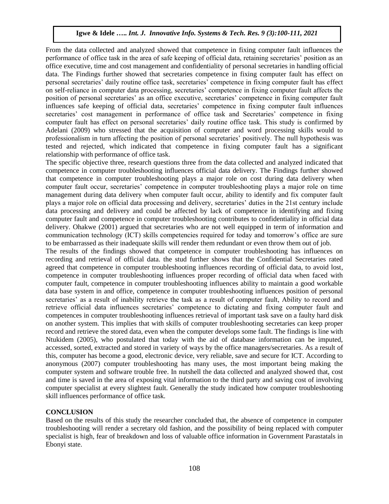From the data collected and analyzed showed that competence in fixing computer fault influences the performance of office task in the area of safe keeping of official data, retaining secretaries' position as an office executive, time and cost management and confidentiality of personal secretaries in handling official data. The Findings further showed that secretaries competence in fixing computer fault has effect on personal secretaries' daily routine office task, secretaries' competence in fixing computer fault has effect on self-reliance in computer data processing, secretaries' competence in fixing computer fault affects the position of personal secretaries' as an office executive, secretaries' competence in fixing computer fault influences safe keeping of official data, secretaries' competence in fixing computer fault influences secretaries' cost management in performance of office task and Secretaries' competence in fixing computer fault has effect on personal secretaries' daily routine office task. This study is confirmed by Adelani (2009) who stressed that the acquisition of computer and word processing skills would to professionalism in turn affecting the position of personal secretaries' positively. The null hypothesis was tested and rejected, which indicated that competence in fixing computer fault has a significant relationship with performance of office task.

The specific objective three, research questions three from the data collected and analyzed indicated that competence in computer troubleshooting influences official data delivery. The Findings further showed that competence in computer troubleshooting plays a major role on cost during data delivery when computer fault occur, secretaries' competence in computer troubleshooting plays a major role on time management during data delivery when computer fault occur, ability to identify and fix computer fault plays a major role on official data processing and delivery, secretaries' duties in the 21st century include data processing and delivery and could be affected by lack of competence in identifying and fixing computer fault and competence in computer troubleshooting contributes to confidentiality in official data delivery. Ohakwe (2001) argued that secretaries who are not well equipped in term of information and communication technology (ICT) skills competencies required for today and tomorrow's office are sure to be embarrassed as their inadequate skills will render them redundant or even throw them out of job.

The results of the findings showed that competence in computer troubleshooting has influences on recording and retrieval of official data. the stud further shows that the Confidential Secretaries rated agreed that competence in computer troubleshooting influences recording of official data, to avoid lost, competence in computer troubleshooting influences proper recording of official data when faced with computer fault, competence in computer troubleshooting influences ability to maintain a good workable data base system in and office, competence in computer troubleshooting influences position of personal secretaries' as a result of inability retrieve the task as a result of computer fault, Ability to record and retrieve official data influences secretaries' competence to dictating and fixing computer fault and competences in computer troubleshooting influences retrieval of important task save on a faulty hard disk on another system. This implies that with skills of computer troubleshooting secretaries can keep proper record and retrieve the stored data, even when the computer develops some fault. The findings is line with Ntukidem (2005), who postulated that today with the aid of database information can be imputed, accessed, sorted, extracted and stored in variety of ways by the office managers/secretaries. As a result of this, computer has become a good, electronic device, very reliable, save and secure for ICT. According to anonymous (2007) computer troubleshooting has many uses, the most important being making the computer system and software trouble free. In nutshell the data collected and analyzed showed that, cost and time is saved in the area of exposing vital information to the third party and saving cost of involving computer specialist at every slightest fault. Generally the study indicated how computer troubleshooting skill influences performance of office task.

#### **CONCLUSION**

Based on the results of this study the researcher concluded that, the absence of competence in computer troubleshooting will render a secretary old fashion, and the possibility of being replaced with computer specialist is high, fear of breakdown and loss of valuable office information in Government Parastatals in Ebonyi state.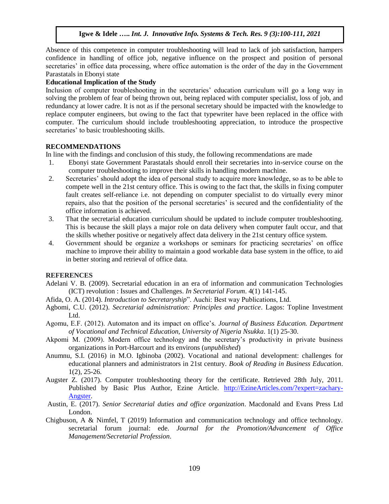Absence of this competence in computer troubleshooting will lead to lack of job satisfaction, hampers confidence in handling of office job, negative influence on the prospect and position of personal secretaries' in office data processing, where office automation is the order of the day in the Government Parastatals in Ebonyi state

#### **Educational Implication of the Study**

Inclusion of computer troubleshooting in the secretaries' education curriculum will go a long way in solving the problem of fear of being thrown out, being replaced with computer specialist, loss of job, and redundancy at lower cadre. It is not as if the personal secretary should be impacted with the knowledge to replace computer engineers, but owing to the fact that typewriter have been replaced in the office with computer. The curriculum should include troubleshooting appreciation, to introduce the prospective secretaries' to basic troubleshooting skills.

#### **RECOMMENDATIONS**

In line with the findings and conclusion of this study, the following recommendations are made

- 1. Ebonyi state Government Parastatals should enroll their secretaries into in-service course on the computer troubleshooting to improve their skills in handling modern machine.
- 2. Secretaries' should adopt the idea of personal study to acquire more knowledge, so as to be able to compete well in the 21st century office. This is owing to the fact that, the skills in fixing computer fault creates self-reliance i.e. not depending on computer specialist to do virtually every minor repairs, also that the position of the personal secretaries' is secured and the confidentiality of the office information is achieved.
- 3. That the secretarial education curriculum should be updated to include computer troubleshooting. This is because the skill plays a major role on data delivery when computer fault occur, and that the skills whether positive or negatively affect data delivery in the 21st century office system.
- 4. Government should be organize a workshops or seminars for practicing secretaries' on office machine to improve their ability to maintain a good workable data base system in the office, to aid in better storing and retrieval of office data.

### **REFERENCES**

- Adelani V. B. (2009). Secretarial education in an era of information and communication Technologies (ICT) revolution : Issues and Challenges. *In Secretarial Forum*. 4(1) 141-145.
- Afida, O. A. (2014). *Introduction to Secretaryship*". Auchi: Best way Publications, Ltd.
- Agbomi, C.U. (2012). *Secretarial administration: Principles and practice*. Lagos: Topline Investment Ltd.
- Agomu, E.F. (2012). Automaton and its impact on office's. *Journal of Business Education. Department of Vocational and Technical Education, University of Nigeria Nsukka*. 1(1) 25-30.
- Akpomi M. (2009). Modern office technology and the secretary's productivity in private business organizations in Port-Harcourt and its environs (*unpublished*)
- Anumnu, S.I. (2016) in M.O. Igbinoba (2002). Vocational and national development: challenges for educational planners and administrators in 21st century. *Book of Reading in Business Education*. 1(2), 25-26.
- Augster Z. (2017). Computer troubleshooting theory for the certificate. Retrieved 28th July, 2011. Published by Basic Plus Author, Ezine Article. [http://EzineArticles.com/?expert=zachary-](http://ezinearticles.com/?expert=zachary-Angster)[Angster.](http://ezinearticles.com/?expert=zachary-Angster)
- Austin, E. (2017). *Senior Secretarial duties and office organization*. Macdonald and Evans Press Ltd London.
- Chigbuson, A & Nimfel, T (2019) Information and communication technology and office technology. secretarial forum journal: ede. *Journal for the Promotion/Advancement of Office Management/Secretarial Profession*.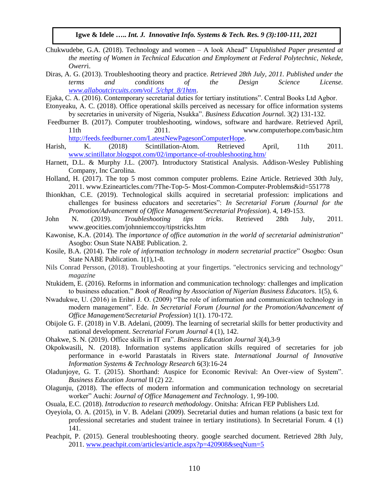- Chukwudebe, G.A. (2018). Technology and women A look Ahead" *Unpublished Paper presented at the meeting of Women in Technical Education and Employment at Federal Polytechnic, Nekede, Owerr*i.
- Diras, A. G. (2013). Troubleshooting theory and practice. *Retrieved 28th July, 2011. Published under the terms and conditions of the Design Science License. [www.allaboutcircuits.com/vol\\_5/chpt\\_8/1htm](http://www.allaboutcircuits.com/vol_5/chpt_8/1htm)*.
- Ejaka, C. A. (2016). Contemporary secretarial duties for tertiary institutions". Central Books Ltd Agbor.
- Etonyeaku, A. C. (2018). Office operational skills perceived as necessary for office information systems by secretaries in university of Nigeria, Nsukka". *Business Education Journa*l. 3(2) 131-132.
- Feedburner B. (2017). Computer troubleshooting, windows, software and hardware. Retrieved April, 11th 2011. 2011. www.computerhope.com/basic.htm [http://feeds.feedburner.com/LatestNewPagesonComputerHope.](http://feeds.feedburner.com/LatestNewPagesonComputerHope)
- Harish, K. (2018) Scintillation-Atom. Retrieved April, 11th 2011. [www.scintillator.blogspot.com/02/importance-of-troubleshooting.htm/](http://www.scintillator.blogspot.com/02/importance-of-troubleshooting.htm/)
- Harnett, D.L. & Murphy J.L. (2007). Introductory Statistical Analysis. Addison-Wesley Publishing Company, Inc Carolina.
- Holland, H. (2017). The top 5 most common computer problems. Ezine Article. Retrieved 30th July, 2011. www.Ezinearticles.com/?The-Top-5- Most-Common-Computer-Problems&id=551778
- Ihionkhan, C.E. (2019). Technological skills acquired in secretarial profession: implications and challenges for business educators and secretaries": *In Secretarial Forum (Journal for the Promotion/Advancement of Office Management/Secretarial Profession*). 4, 149-153.
- John N. (2019). *Troubleshooting tips tricks*. Retrieved 28th July, 2011. www.geocities.com/johnniemccoy/tipstricks.htm
- Kawonise, K.A. (2014). The *importance of office automation in the world of secretarial administration*" Asogbo: Osun State NABE Publication. 2.
- Kosile, B.A. (2014). The *role of information technology in modern secretarial practice*" Osogbo: Osun State NABE Publication. 1(1),1-8.
- Nils Conrad Persson, (2018). Troubleshooting at your fingertips. "electronics servicing and technology" *magazine*
- Ntukidem, E. (2016). Reforms in information and communication technology: challenges and implication to business education." *Book of Reading by Association of Nigerian Business Educator*s. 1(5), 6.
- Nwadukwe, U. (2016) in Erihri J. O. (2009) "The role of information and communication technology in modern management". Ede. *In Secretarial Forum (Journal for the Promotion/Advancement of Office Management/Secretarial Profession*) 1(1). 170-172.
- Obijole G. F. (2018) in V.B. Adelani, (2009). The learning of secretarial skills for better productivity and national development. *Secretarial Forum Journal* 4 (1), 142.
- Ohakwe, S. N. (2019). Office skills in IT era". *Business Education Journal* 3(4),3-9
- Okpokwasili, N. (2018). Information systems application skills required of secretaries for job performance in e-world Parastatals in Rivers state. *International Journal of Innovative Information Systems & Technology Research* 6(3):16-24
- Oladunjoye, G. T. (2015). Shorthand: Auspice for Economic Revival: An Over-view of System". *Business Education Journal* II (2) 22.
- Olagunju, (2018). The effects of modern information and communication technology on secretarial worker" Auchi: *Journal of Office Management and Technology*. 1, 99-100.
- Osuala, E.C. (2018). *Introduction to research methodology*. Onitsha: African FEP Publishers Ltd.
- Oyeyiola, O. A. (2015), in V. B. Adelani (2009). Secretarial duties and human relations (a basic text for professional secretaries and student trainee in tertiary institutions). In Secretarial Forum. 4 (1) 141.
- Peachpit, P. (2015). General troubleshooting theory. google searched document. Retrieved 28th July, 2011. [www.peachpit.com/articles/article.aspx?p=420908&seqNum=5](http://www.peachpit.com/articles/article.aspx?p=420908&seqNum=5)